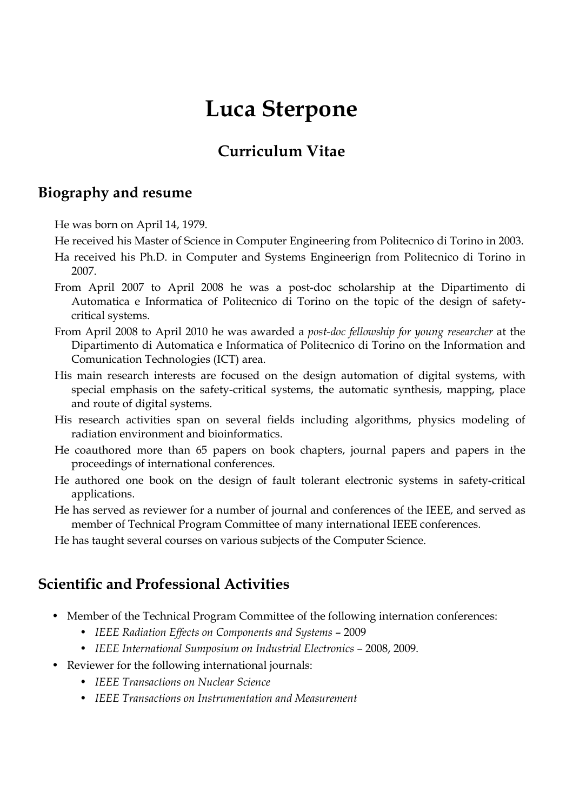# **Luca Sterpone**

# **Curriculum Vitae**

#### **Biography and resume**

He was born on April 14, 1979.

He received his Master of Science in Computer Engineering from Politecnico di Torino in 2003.

- Ha received his Ph.D. in Computer and Systems Engineerign from Politecnico di Torino in 2007.
- From April 2007 to April 2008 he was a post-doc scholarship at the Dipartimento di Automatica e Informatica of Politecnico di Torino on the topic of the design of safetycritical systems.
- From April 2008 to April 2010 he was awarded a *post-doc fellowship for young researcher* at the Dipartimento di Automatica e Informatica of Politecnico di Torino on the Information and Comunication Technologies (ICT) area.
- His main research interests are focused on the design automation of digital systems, with special emphasis on the safety-critical systems, the automatic synthesis, mapping, place and route of digital systems.
- His research activities span on several fields including algorithms, physics modeling of radiation environment and bioinformatics.
- He coauthored more than 65 papers on book chapters, journal papers and papers in the proceedings of international conferences.
- He authored one book on the design of fault tolerant electronic systems in safety-critical applications.
- He has served as reviewer for a number of journal and conferences of the IEEE, and served as member of Technical Program Committee of many international IEEE conferences.

He has taught several courses on various subjects of the Computer Science.

## **Scientific and Professional Activities**

- Member of the Technical Program Committee of the following internation conferences:
	- *IEEE Radiation Effects on Components and Systems* 2009
	- *IEEE International Sumposium on Industrial Electronics –* 2008, 2009.
- Reviewer for the following international journals:
	- *IEEE Transactions on Nuclear Science*
	- *IEEE Transactions on Instrumentation and Measurement*